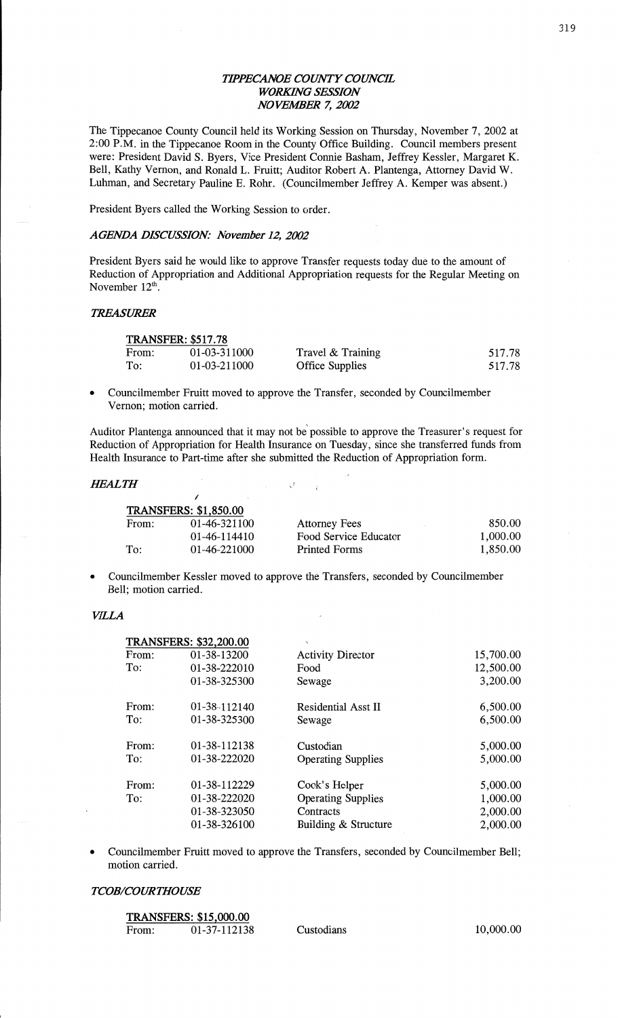# *WPEC'ANOE COUNTY COUNCIL*  **WORKING SESSION** N0 *VEMER* 7, *2002*

The Tippecanoe County Council held its Working Session on Thursday, November 7, 2002 at 2:00 **P.M.** in the Tippecanoe Room in the County Office Building. Council members present were: President David S. Byers, Vice President Connie **Basham,** Jeffrey Kessler, Margaret K. Bell, Kathy Vernon, and Ronald L. Fruitt; Auditor Robert A. Plantenga, Attorney David W. Luhman, and Secretary Pauline E. Rohr. (Councilmember Jeffrey A. Kemper was absent.)

President Byers called the Working Session to order.

**/** .

#### *AGENDA DISCUSSION: November* 12, *2002*

President Byers said he would like to approve Transfer requests today due to the amount of Reduction of Appropriation and **Additional** Appropriation requests for the Regular Meeting on November  $12^{\text{th}}$ .

#### *TREASMEER*

| <b>TRANSFER: \$517.78</b> |              |                        |        |  |
|---------------------------|--------------|------------------------|--------|--|
| From:                     | 01-03-311000 | Travel & Training      | 517.78 |  |
| To:                       | 01-03-211000 | <b>Office Supplies</b> | 517.78 |  |

**0** Councilmember Fruitt moved to approve the Transfer, seconded by Councilmember Vernon; motion carried.

Auditor Plantenga announced that it may not be possible to approve the Treasurer's request for Reduction of Appropriation for Health Insurance on Tuesday, since she transferred funds from Health Insurance to Part-time after she submitted the Reduction of Appropriation form.

# *Ifl-Z'ALTH '* , .\_\_r

|       | <b>TRANSFERS: \$1,850.00</b> |                       |          |
|-------|------------------------------|-----------------------|----------|
| From: | 01-46-321100                 | <b>Attorney Fees</b>  | 850.00   |
|       | 01-46-114410                 | Food Service Educator | 1,000.00 |
| To:   | 01-46-221000                 | Printed Forms         | 1,850.00 |

Councilmember Kessler moved to approve the Transfers, seconded by Councilmember Bell; motion carried.

#### *VILLA*

|       | <b>TRANSFERS: \$32,200.00</b> |                            |           |
|-------|-------------------------------|----------------------------|-----------|
| From: | 01-38-13200                   | <b>Activity Director</b>   | 15,700.00 |
| To:   | 01-38-222010                  | Food                       | 12,500.00 |
|       | 01-38-325300                  | Sewage                     | 3,200.00  |
| From: | 01-38-112140                  | <b>Residential Asst II</b> | 6,500.00  |
| To:   | 01-38-325300                  | Sewage                     | 6,500.00  |
| From: | 01-38-112138                  | Custodian                  | 5,000.00  |
| To:   | 01-38-222020                  | <b>Operating Supplies</b>  | 5,000.00  |
| From: | 01-38-112229                  | Cook's Helper              | 5,000.00  |
| To:   | 01-38-222020                  | <b>Operating Supplies</b>  | 1,000.00  |
|       | 01-38-323050                  | Contracts                  | 2,000.00  |
|       | 01-38-326100                  | Building & Structure       | 2,000.00  |

Councilmember Fruitt moved to approve the Transfers, seconded by Councilmember Bell; motion carried.

#### *T COB/COURTHOUSE*

**TRANSFERS: \$15,000.00** 

|       | IKANSFEKS: 315,000.00 |            |  |
|-------|-----------------------|------------|--|
| From: | 01-37-112138          | Custodians |  |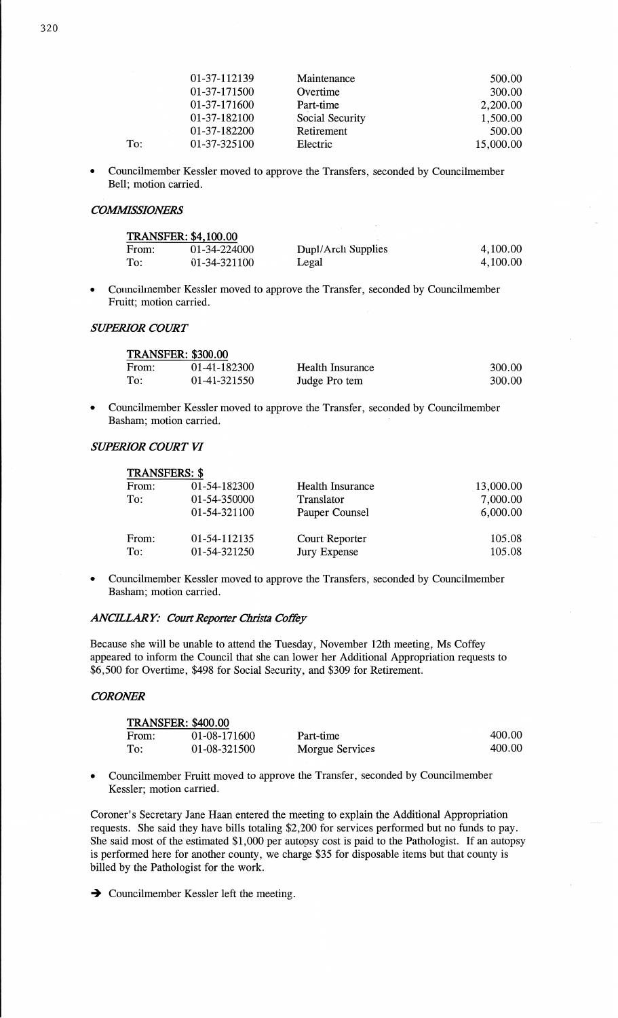| 01-37-112139 | Maintenance     | 500.00    |
|--------------|-----------------|-----------|
| 01-37-171500 | Overtime        | 300.00    |
| 01-37-171600 | Part-time       | 2,200.00  |
| 01-37-182100 | Social Security | 1,500.00  |
| 01-37-182200 | Retirement      | 500.00    |
| 01-37-325100 | Electric        | 15,000.00 |

**0** Councilmember Kessler moved to approve the Transfers, seconded by Councilmember Bell; motion carried.

# *COMMSSIONERS*

To:

| <b>TRANSFER: \$4,100.00</b> |              |                    |          |
|-----------------------------|--------------|--------------------|----------|
| From:                       | 01-34-224000 | Dupl/Arch Supplies | 4,100.00 |
| To:                         | 01-34-321100 | Legal              | 4,100.00 |

Councilmember Kessler moved to approve the Transfer, seconded by Councilmember Fruitt; motion carried.

#### *SUPERIOR COWT*

| <b>TRANSFER: \$300.00</b> |              |                  |        |  |
|---------------------------|--------------|------------------|--------|--|
| From:                     | 01-41-182300 | Health Insurance | 300.00 |  |
| To:                       | 01-41-321550 | Judge Pro tem    | 300.00 |  |

**0** Councilmember Kessler moved to approve the Transfer, seconded by Councilmember Basham; motion carried. '

#### **SUPERIOR COURT VI**

| <b>TRANSFERS: \$</b> |              |                  |           |
|----------------------|--------------|------------------|-----------|
| From:                | 01-54-182300 | Health Insurance | 13,000.00 |
| To:                  | 01-54-350000 | Translator       | 7,000.00  |
|                      | 01-54-321100 | Pauper Counsel   | 6,000.00  |
| From:                | 01-54-112135 | Court Reporter   | 105.08    |
| To:                  | 01-54-321250 | Jury Expense     | 105.08    |

**0** Councilmember Kessler moved to approve the Transfers, seconded by Councilmember Basham; motion carried.

# *ANCILLARY: Court Reporter Christa Coffey*

Because she will be unable to attend the Tuesday, November 12th meeting, Ms Coffey appeared to inform the Council that she can lower her **Additional** Appropriation requests to \$6,500 for Overtime, \$498 for Social Security, and \$309 for Retirement.

# *CORONER*

| <b>TRANSFER: \$400.00</b> |              |                 |        |  |
|---------------------------|--------------|-----------------|--------|--|
| From:                     | 01-08-171600 | Part-time       | 400.00 |  |
| To:                       | 01-08-321500 | Morgue Services | 400.00 |  |

**0** Councilmember Pruitt moved to approve the Transfer, seconded by Councilmember Kessler; motion carried.

Coroner's Secretary Jane **Haan** entered the meeting to explain the Additional Appropriation requests. She **said** they **have** bills totaling \$2,200 for services performed but no **funds** to pay. She said most of the estimated \$1,000 per autopsy cost is paid to the Pathologist. If an autopsy is performed here for another county, we charge \$35 for disposable items but that county is billed by the Pathologist for the **work.** 

 $\rightarrow$  Councilmember Kessler left the meeting.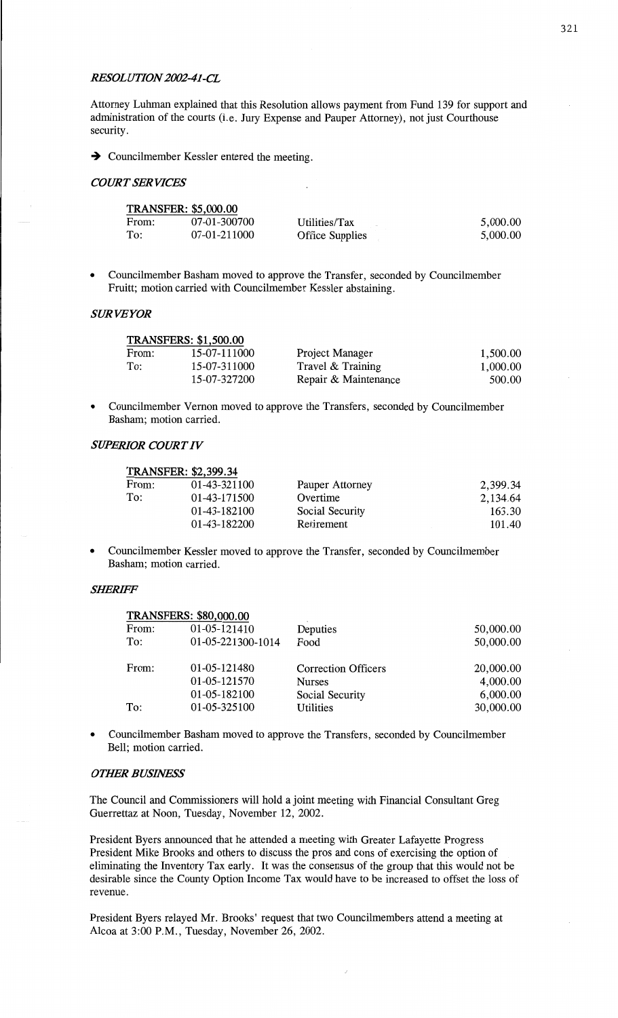#### *RES'OL UYYON 200241-CL*

**Attorney Luhman explained that** this **Resolution** allows **payment** from **Fund** 139 for **support** and administration of the courts (i.e. Jury **Expense** and Pauper **Attorney),** not **just Courthouse security.** 

→ Councilmember Kessler entered the meeting.<br> *COURT SERVICES* 

**TRANSFERS: \$1,500.00** 

TRANSFERS: **\$80,000.00 '** 

**TRANSFER:** \$5,000.00

|       | TRANSFER: \$5,000.00 |                        |          |  |  |
|-------|----------------------|------------------------|----------|--|--|
| From: | 07-01-300700         | Utilities/Tax          | 5,000.00 |  |  |
| To:   | 07-01-211000         | <b>Office Supplies</b> | 5,000.00 |  |  |

**0** Councilmember **Basham** moved to approve the Transfer, **seconded** by Councilmember Fruitt; motion carried with Councilmember Kessler abstaining.

# SUR *VEYOR*

|       | LIMINOTERO, 01,JUU.UU |                      |          |
|-------|-----------------------|----------------------|----------|
| From: | 15-07-111000          | Project Manager      | 1,500.00 |
| To:   | 15-07-311000          | Travel & Training    | 1,000.00 |
|       | 15-07-327200          | Repair & Maintenance | 500.00   |
|       |                       |                      |          |

*-* **Councilmember** Vernon **moved** to approve the Transfers, seconded by Councilmember **Basham;** motion carried.

#### *SUPERIOR COURTIV*

| <b>TRANSFER: \$2,399.34</b> |              |                 |          |  |  |
|-----------------------------|--------------|-----------------|----------|--|--|
| From:                       | 01-43-321100 | Pauper Attorney | 2,399.34 |  |  |
| To:                         | 01-43-171500 | Overtime        | 2,134.64 |  |  |
|                             | 01-43-182100 | Social Security | 163.30   |  |  |
|                             | 01-43-182200 | Retirement      | 101.40   |  |  |

**-** Councilmember Kessler moved to approve the Transfer, seconded by Councilmember **Basham;** motion carried.

## *SIERIFF*

| I KANSFEKS: \$80,000.00 |                   |                            |           |
|-------------------------|-------------------|----------------------------|-----------|
| From:                   | 01-05-121410      | Deputies                   | 50,000.00 |
| To:                     | 01-05-221300-1014 | Food                       | 50,000.00 |
| From:                   | 01-05-121480      | <b>Correction Officers</b> | 20,000.00 |
|                         |                   |                            |           |
|                         | 01-05-121570      | <b>Nurses</b>              | 4,000.00  |
|                         | 01-05-182100      | Social Security            | 6,000.00  |
| To:                     | 01-05-325100      | Utilities                  | 30,000.00 |
|                         |                   |                            |           |

**0 Councilmember** Basham moved to approve the Transfers, **seconded** by Councilmember **Bell; motion** carried.

#### **OTHER BUSINESS**

The Council and Commissioners **will hold** a **joint** meeting with Financial **Consultant** Greg Guerrettaz at **Noon,** Tuesday, November 12, **2002.** 

President Byers **announced** that he attended **a** meeting with Greater Lafayette Progress President Mike Brooks and others to discuss the pros and cons of exercising the option of eliminating the **Inventory** Tax early. It was the **consensus** of the group **that** this would not be desirable since the County Option **Income** Tax would **have** to be increased to **offset** the loss of revenue.

President Byers relayed Mr. **Brooks'** request that two **Councilmembers** attend **a meeting** at Alcoa at 3:00 **P.M.,** Tuesday, November 26, 2002.